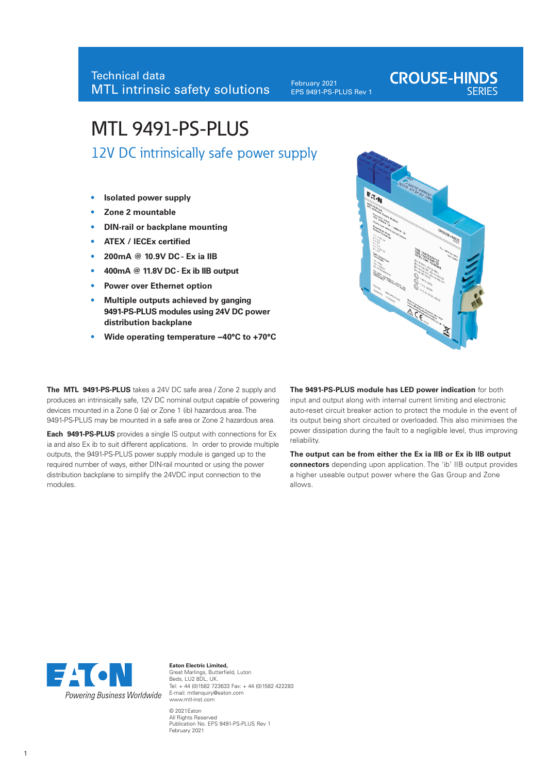February 2021 EPS 9491-PS-PLUS Rev 1 **CROUSE-HINDS** 

# MTL 9491-PS-PLUS

12V DC intrinsically safe power supply

- **• Isolated power supply**
- **• Zone 2 mountable**
- **• DIN-rail or backplane mounting**
- **• ATEX / IECEx certified**
- **• 200mA @ 10.9V DC Ex ia IIB**
- **• 400mA @ 11.8V DC Ex ib IIB output**
- **• Power over Ethernet option**
- **• Multiple outputs achieved by ganging 9491-PS-PLUS modules using 24V DC power distribution backplane**
- **• Wide operating temperature −40°C to +70°C**



**The MTL 9491-PS-PLUS** takes a 24V DC safe area / Zone 2 supply and produces an intrinsically safe, 12V DC nominal output capable of powering devices mounted in a Zone 0 (ia) or Zone 1 (ib) hazardous area. The 9491-PS-PLUS may be mounted in a safe area or Zone 2 hazardous area.

**Each 9491-PS-PLUS** provides a single IS output with connections for Ex ia and also Ex ib to suit different applications. In order to provide multiple outputs, the 9491-PS-PLUS power supply module is ganged up to the required number of ways, either DIN-rail mounted or using the power distribution backplane to simplify the 24VDC input connection to the modules.

**The 9491-PS-PLUS module has LED power indication** for both input and output along with internal current limiting and electronic auto-reset circuit breaker action to protect the module in the event of its output being short circuited or overloaded. This also minimises the power dissipation during the fault to a negligible level, thus improving reliability.

**The output can be from either the Ex ia IIB or Ex ib IIB output connectors** depending upon application. The 'ib' IIB output provides a higher useable output power where the Gas Group and Zone allows.



**Eaton Electric Limited,** Great Marlings, Butterfield, Luton Beds, LU2 8DL, UK. Tel: + 44 (0)1582 723633 Fax: + 44 (0)1582 422283 E-mail: mtlenquiry@eaton.com www.mtl-inst.com © 2021Eaton All Rights Reserved Publication No. EPS 9491-PS-PLUS Rev 1

February 2021